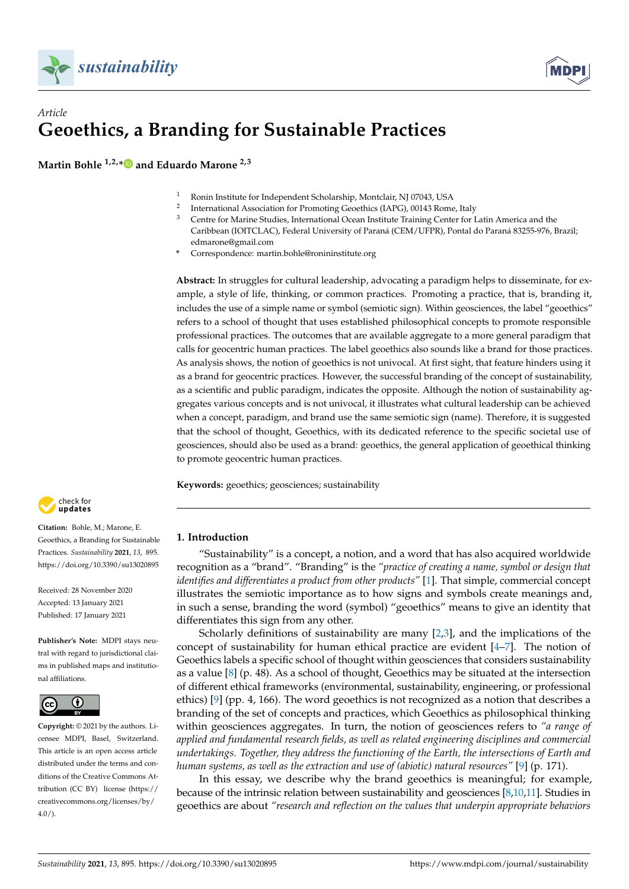



# *Article* **Geoethics, a Branding for Sustainable Practices**

**Martin Bohle 1,2,[\\*](https://orcid.org/0000-0002-8794-5810) and Eduardo Marone 2,3**

- <sup>1</sup> Ronin Institute for Independent Scholarship, Montclair, NJ 07043, USA
- $\overline{2}$ International Association for Promoting Geoethics (IAPG), 00143 Rome, Italy
- <sup>3</sup> Centre for Marine Studies, International Ocean Institute Training Center for Latin America and the Caribbean (IOITCLAC), Federal University of Paraná (CEM/UFPR), Pontal do Paraná 83255-976, Brazil; edmarone@gmail.com
- **\*** Correspondence: martin.bohle@ronininstitute.org

**Abstract:** In struggles for cultural leadership, advocating a paradigm helps to disseminate, for example, a style of life, thinking, or common practices. Promoting a practice, that is, branding it, includes the use of a simple name or symbol (semiotic sign). Within geosciences, the label "geoethics" refers to a school of thought that uses established philosophical concepts to promote responsible professional practices. The outcomes that are available aggregate to a more general paradigm that calls for geocentric human practices. The label geoethics also sounds like a brand for those practices. As analysis shows, the notion of geoethics is not univocal. At first sight, that feature hinders using it as a brand for geocentric practices. However, the successful branding of the concept of sustainability, as a scientific and public paradigm, indicates the opposite. Although the notion of sustainability aggregates various concepts and is not univocal, it illustrates what cultural leadership can be achieved when a concept, paradigm, and brand use the same semiotic sign (name). Therefore, it is suggested that the school of thought, Geoethics, with its dedicated reference to the specific societal use of geosciences, should also be used as a brand: geoethics, the general application of geoethical thinking to promote geocentric human practices.

**Keywords:** geoethics; geosciences; sustainability



**Citation:** Bohle, M.; Marone, E. Geoethics, a Branding for Sustainable Practices. *Sustainability* **2021**, *13*, 895. <https://doi.org/10.3390/su13020895>

Received: 28 November 2020 Accepted: 13 January 2021 Published: 17 January 2021

**Publisher's Note:** MDPI stays neutral with regard to jurisdictional claims in published maps and institutional affiliations.



**Copyright:** © 2021 by the authors. Licensee MDPI, Basel, Switzerland. This article is an open access article distributed under the terms and conditions of the Creative Commons Attribution (CC BY) license [\(https://](https://creativecommons.org/licenses/by/4.0/) [creativecommons.org/licenses/by/](https://creativecommons.org/licenses/by/4.0/)  $4.0/$ ).

## **1. Introduction**

"Sustainability" is a concept, a notion, and a word that has also acquired worldwide recognition as a "brand". "Branding" is the *"practice of creating a name, symbol or design that identifies and differentiates a product from other products"* [\[1\]](#page-7-0). That simple, commercial concept illustrates the semiotic importance as to how signs and symbols create meanings and, in such a sense, branding the word (symbol) "geoethics" means to give an identity that differentiates this sign from any other.

Scholarly definitions of sustainability are many  $[2,3]$  $[2,3]$ , and the implications of the concept of sustainability for human ethical practice are evident [\[4–](#page-7-3)[7\]](#page-7-4). The notion of Geoethics labels a specific school of thought within geosciences that considers sustainability as a value  $[8]$  (p. 48). As a school of thought, Geoethics may be situated at the intersection of different ethical frameworks (environmental, sustainability, engineering, or professional ethics) [\[9\]](#page-7-6) (pp. 4, 166). The word geoethics is not recognized as a notion that describes a branding of the set of concepts and practices, which Geoethics as philosophical thinking within geosciences aggregates. In turn, the notion of geosciences refers to *"a range of applied and fundamental research fields, as well as related engineering disciplines and commercial undertakings. Together, they address the functioning of the Earth, the intersections of Earth and human systems, as well as the extraction and use of (abiotic) natural resources"* [\[9\]](#page-7-6) (p. 171).

In this essay, we describe why the brand geoethics is meaningful; for example, because of the intrinsic relation between sustainability and geosciences  $[8,10,11]$  $[8,10,11]$  $[8,10,11]$ . Studies in geoethics are about *"research and reflection on the values that underpin appropriate behaviors*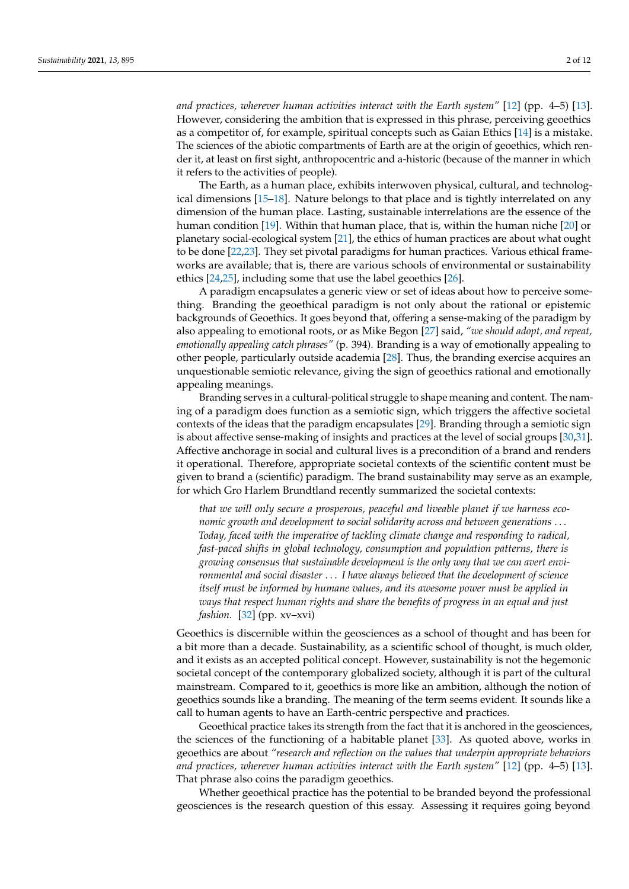*and practices, wherever human activities interact with the Earth system"* [\[12\]](#page-7-9) (pp. 4–5) [\[13\]](#page-7-10). However, considering the ambition that is expressed in this phrase, perceiving geoethics as a competitor of, for example, spiritual concepts such as Gaian Ethics [\[14\]](#page-7-11) is a mistake. The sciences of the abiotic compartments of Earth are at the origin of geoethics, which render it, at least on first sight, anthropocentric and a-historic (because of the manner in which it refers to the activities of people).

The Earth, as a human place, exhibits interwoven physical, cultural, and technological dimensions [\[15–](#page-7-12)[18\]](#page-7-13). Nature belongs to that place and is tightly interrelated on any dimension of the human place. Lasting, sustainable interrelations are the essence of the human condition [\[19\]](#page-8-0). Within that human place, that is, within the human niche [\[20\]](#page-8-1) or planetary social-ecological system [\[21\]](#page-8-2), the ethics of human practices are about what ought to be done [\[22,](#page-8-3)[23\]](#page-8-4). They set pivotal paradigms for human practices. Various ethical frameworks are available; that is, there are various schools of environmental or sustainability ethics [\[24](#page-8-5)[,25\]](#page-8-6), including some that use the label geoethics [\[26\]](#page-8-7).

A paradigm encapsulates a generic view or set of ideas about how to perceive something. Branding the geoethical paradigm is not only about the rational or epistemic backgrounds of Geoethics. It goes beyond that, offering a sense-making of the paradigm by also appealing to emotional roots, or as Mike Begon [\[27\]](#page-8-8) said, *"we should adopt, and repeat, emotionally appealing catch phrases"* (p. 394). Branding is a way of emotionally appealing to other people, particularly outside academia [\[28\]](#page-8-9). Thus, the branding exercise acquires an unquestionable semiotic relevance, giving the sign of geoethics rational and emotionally appealing meanings.

Branding serves in a cultural-political struggle to shape meaning and content. The naming of a paradigm does function as a semiotic sign, which triggers the affective societal contexts of the ideas that the paradigm encapsulates [\[29\]](#page-8-10). Branding through a semiotic sign is about affective sense-making of insights and practices at the level of social groups [\[30](#page-8-11)[,31\]](#page-8-12). Affective anchorage in social and cultural lives is a precondition of a brand and renders it operational. Therefore, appropriate societal contexts of the scientific content must be given to brand a (scientific) paradigm. The brand sustainability may serve as an example, for which Gro Harlem Brundtland recently summarized the societal contexts:

*that we will only secure a prosperous, peaceful and liveable planet if we harness economic growth and development to social solidarity across and between generations* . . . *Today, faced with the imperative of tackling climate change and responding to radical, fast-paced shifts in global technology, consumption and population patterns, there is growing consensus that sustainable development is the only way that we can avert environmental and social disaster* . . . *I have always believed that the development of science itself must be informed by humane values, and its awesome power must be applied in ways that respect human rights and share the benefits of progress in an equal and just fashion.* [\[32\]](#page-8-13) (pp. xv–xvi)

Geoethics is discernible within the geosciences as a school of thought and has been for a bit more than a decade. Sustainability, as a scientific school of thought, is much older, and it exists as an accepted political concept. However, sustainability is not the hegemonic societal concept of the contemporary globalized society, although it is part of the cultural mainstream. Compared to it, geoethics is more like an ambition, although the notion of geoethics sounds like a branding. The meaning of the term seems evident. It sounds like a call to human agents to have an Earth-centric perspective and practices.

Geoethical practice takes its strength from the fact that it is anchored in the geosciences, the sciences of the functioning of a habitable planet [\[33\]](#page-8-14). As quoted above, works in geoethics are about *"research and reflection on the values that underpin appropriate behaviors and practices, wherever human activities interact with the Earth system"* [\[12\]](#page-7-9) (pp. 4–5) [\[13\]](#page-7-10). That phrase also coins the paradigm geoethics.

Whether geoethical practice has the potential to be branded beyond the professional geosciences is the research question of this essay. Assessing it requires going beyond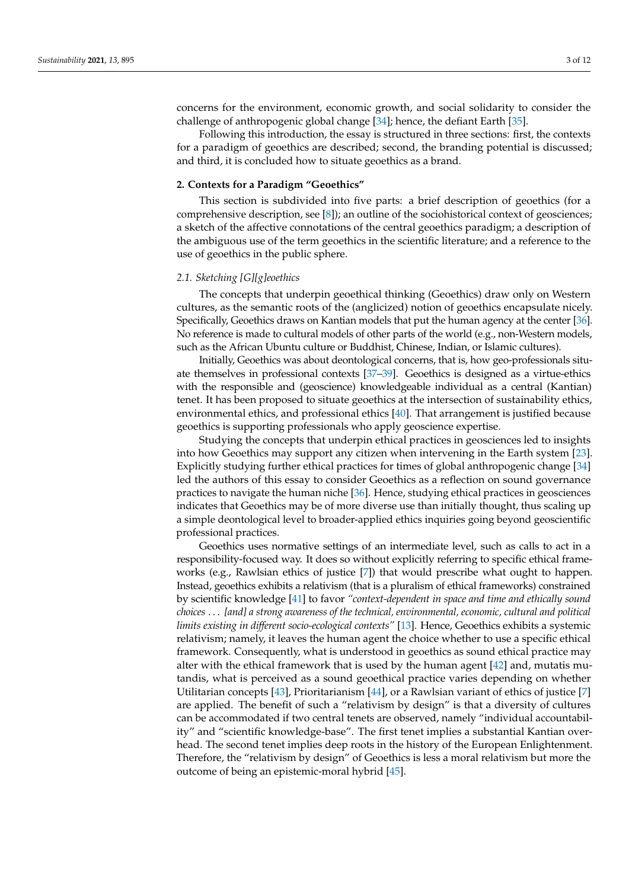concerns for the environment, economic growth, and social solidarity to consider the challenge of anthropogenic global change [\[34\]](#page-8-15); hence, the defiant Earth [\[35\]](#page-8-16).

Following this introduction, the essay is structured in three sections: first, the contexts for a paradigm of geoethics are described; second, the branding potential is discussed; and third, it is concluded how to situate geoethics as a brand.

#### **2. Contexts for a Paradigm "Geoethics"**

This section is subdivided into five parts: a brief description of geoethics (for a comprehensive description, see [\[8\]](#page-7-5)); an outline of the sociohistorical context of geosciences; a sketch of the affective connotations of the central geoethics paradigm; a description of the ambiguous use of the term geoethics in the scientific literature; and a reference to the use of geoethics in the public sphere.

#### *2.1. Sketching [G][g]eoethics*

The concepts that underpin geoethical thinking (Geoethics) draw only on Western cultures, as the semantic roots of the (anglicized) notion of geoethics encapsulate nicely. Specifically, Geoethics draws on Kantian models that put the human agency at the center [\[36\]](#page-8-17). No reference is made to cultural models of other parts of the world (e.g., non-Western models, such as the African Ubuntu culture or Buddhist, Chinese, Indian, or Islamic cultures).

Initially, Geoethics was about deontological concerns, that is, how geo-professionals situate themselves in professional contexts [\[37–](#page-8-18)[39\]](#page-8-19). Geoethics is designed as a virtue-ethics with the responsible and (geoscience) knowledgeable individual as a central (Kantian) tenet. It has been proposed to situate geoethics at the intersection of sustainability ethics, environmental ethics, and professional ethics [\[40\]](#page-8-20). That arrangement is justified because geoethics is supporting professionals who apply geoscience expertise.

Studying the concepts that underpin ethical practices in geosciences led to insights into how Geoethics may support any citizen when intervening in the Earth system [\[23\]](#page-8-4). Explicitly studying further ethical practices for times of global anthropogenic change [\[34\]](#page-8-15) led the authors of this essay to consider Geoethics as a reflection on sound governance practices to navigate the human niche [\[36\]](#page-8-17). Hence, studying ethical practices in geosciences indicates that Geoethics may be of more diverse use than initially thought, thus scaling up a simple deontological level to broader-applied ethics inquiries going beyond geoscientific professional practices.

Geoethics uses normative settings of an intermediate level, such as calls to act in a responsibility-focused way. It does so without explicitly referring to specific ethical frameworks (e.g., Rawlsian ethics of justice [\[7\]](#page-7-4)) that would prescribe what ought to happen. Instead, geoethics exhibits a relativism (that is a pluralism of ethical frameworks) constrained by scientific knowledge [\[41\]](#page-8-21) to favor *"context-dependent in space and time and ethically sound choices* . . . *[and] a strong awareness of the technical, environmental, economic, cultural and political limits existing in different socio-ecological contexts"* [\[13\]](#page-7-10). Hence, Geoethics exhibits a systemic relativism; namely, it leaves the human agent the choice whether to use a specific ethical framework. Consequently, what is understood in geoethics as sound ethical practice may alter with the ethical framework that is used by the human agent [\[42\]](#page-8-22) and, mutatis mutandis, what is perceived as a sound geoethical practice varies depending on whether Utilitarian concepts [\[43\]](#page-8-23), Prioritarianism [\[44\]](#page-8-24), or a Rawlsian variant of ethics of justice [\[7\]](#page-7-4) are applied. The benefit of such a "relativism by design" is that a diversity of cultures can be accommodated if two central tenets are observed, namely "individual accountability" and "scientific knowledge-base". The first tenet implies a substantial Kantian overhead. The second tenet implies deep roots in the history of the European Enlightenment. Therefore, the "relativism by design" of Geoethics is less a moral relativism but more the outcome of being an epistemic-moral hybrid [\[45\]](#page-8-25).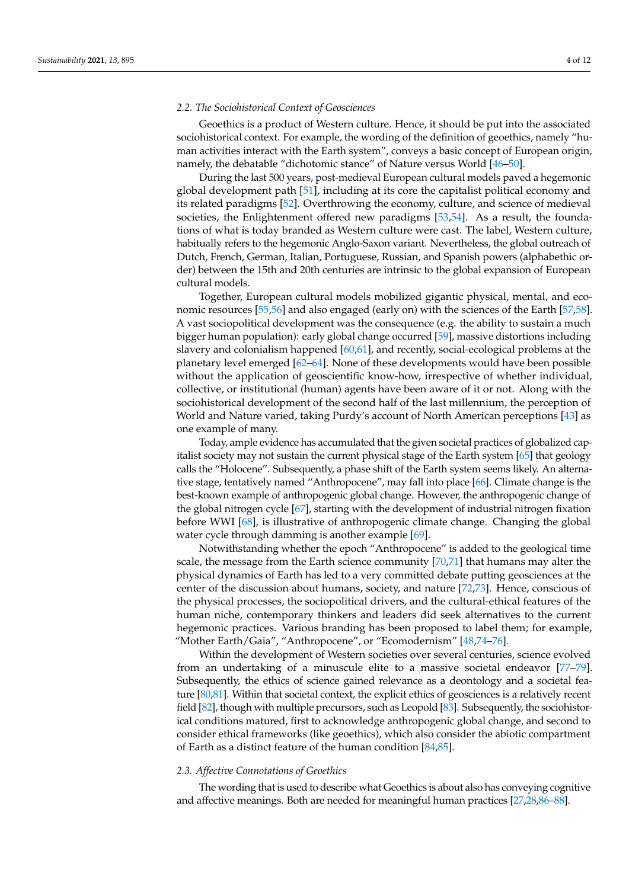## *2.2. The Sociohistorical Context of Geosciences*

Geoethics is a product of Western culture. Hence, it should be put into the associated sociohistorical context. For example, the wording of the definition of geoethics, namely "human activities interact with the Earth system", conveys a basic concept of European origin, namely, the debatable "dichotomic stance" of Nature versus World [\[46–](#page-8-26)[50\]](#page-8-27).

During the last 500 years, post-medieval European cultural models paved a hegemonic global development path [\[51\]](#page-8-28), including at its core the capitalist political economy and its related paradigms [\[52\]](#page-9-0). Overthrowing the economy, culture, and science of medieval societies, the Enlightenment offered new paradigms [\[53,](#page-9-1)[54\]](#page-9-2). As a result, the foundations of what is today branded as Western culture were cast. The label, Western culture, habitually refers to the hegemonic Anglo-Saxon variant. Nevertheless, the global outreach of Dutch, French, German, Italian, Portuguese, Russian, and Spanish powers (alphabethic order) between the 15th and 20th centuries are intrinsic to the global expansion of European cultural models.

Together, European cultural models mobilized gigantic physical, mental, and economic resources [\[55,](#page-9-3)[56\]](#page-9-4) and also engaged (early on) with the sciences of the Earth [\[57,](#page-9-5)[58\]](#page-9-6). A vast sociopolitical development was the consequence (e.g. the ability to sustain a much bigger human population): early global change occurred [\[59\]](#page-9-7), massive distortions including slavery and colonialism happened [\[60,](#page-9-8)[61\]](#page-9-9), and recently, social-ecological problems at the planetary level emerged [\[62](#page-9-10)[–64\]](#page-9-11). None of these developments would have been possible without the application of geoscientific know-how, irrespective of whether individual, collective, or institutional (human) agents have been aware of it or not. Along with the sociohistorical development of the second half of the last millennium, the perception of World and Nature varied, taking Purdy's account of North American perceptions [\[43\]](#page-8-23) as one example of many.

Today, ample evidence has accumulated that the given societal practices of globalized capitalist society may not sustain the current physical stage of the Earth system [\[65\]](#page-9-12) that geology calls the "Holocene". Subsequently, a phase shift of the Earth system seems likely. An alternative stage, tentatively named "Anthropocene", may fall into place [\[66\]](#page-9-13). Climate change is the best-known example of anthropogenic global change. However, the anthropogenic change of the global nitrogen cycle [\[67\]](#page-9-14), starting with the development of industrial nitrogen fixation before WWI [\[68\]](#page-9-15), is illustrative of anthropogenic climate change. Changing the global water cycle through damming is another example [\[69\]](#page-9-16).

Notwithstanding whether the epoch "Anthropocene" is added to the geological time scale, the message from the Earth science community [\[70](#page-9-17)[,71\]](#page-9-18) that humans may alter the physical dynamics of Earth has led to a very committed debate putting geosciences at the center of the discussion about humans, society, and nature [\[72](#page-9-19)[,73\]](#page-9-20). Hence, conscious of the physical processes, the sociopolitical drivers, and the cultural-ethical features of the human niche, contemporary thinkers and leaders did seek alternatives to the current hegemonic practices. Various branding has been proposed to label them; for example, "Mother Earth/Gaia", "Anthropocene", or "Ecomodernism" [\[48,](#page-8-29)[74](#page-9-21)[–76\]](#page-9-22).

Within the development of Western societies over several centuries, science evolved from an undertaking of a minuscule elite to a massive societal endeavor [\[77](#page-9-23)[–79\]](#page-9-24). Subsequently, the ethics of science gained relevance as a deontology and a societal feature [\[80](#page-9-25)[,81\]](#page-9-26). Within that societal context, the explicit ethics of geosciences is a relatively recent field [\[82\]](#page-9-27), though with multiple precursors, such as Leopold [\[83\]](#page-9-28). Subsequently, the sociohistorical conditions matured, first to acknowledge anthropogenic global change, and second to consider ethical frameworks (like geoethics), which also consider the abiotic compartment of Earth as a distinct feature of the human condition [\[84,](#page-9-29)[85\]](#page-9-30).

#### *2.3. Affective Connotations of Geoethics*

The wording that is used to describe what Geoethics is about also has conveying cognitive and affective meanings. Both are needed for meaningful human practices [\[27](#page-8-8)[,28](#page-8-9)[,86–](#page-9-31)[88\]](#page-10-0).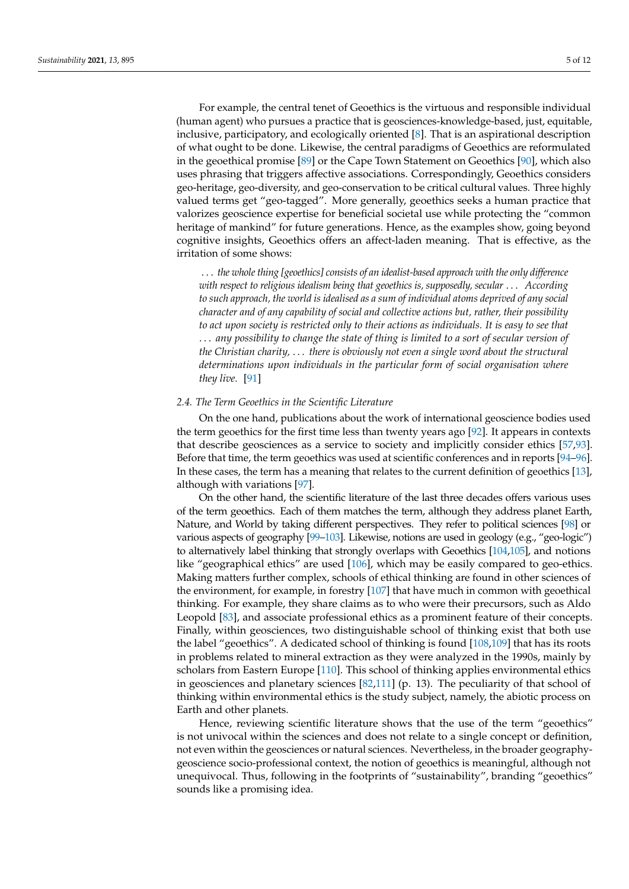For example, the central tenet of Geoethics is the virtuous and responsible individual (human agent) who pursues a practice that is geosciences-knowledge-based, just, equitable, inclusive, participatory, and ecologically oriented [\[8\]](#page-7-5). That is an aspirational description of what ought to be done. Likewise, the central paradigms of Geoethics are reformulated in the geoethical promise [\[89\]](#page-10-1) or the Cape Town Statement on Geoethics [\[90\]](#page-10-2), which also uses phrasing that triggers affective associations. Correspondingly, Geoethics considers geo-heritage, geo-diversity, and geo-conservation to be critical cultural values. Three highly valued terms get "geo-tagged". More generally, geoethics seeks a human practice that valorizes geoscience expertise for beneficial societal use while protecting the "common heritage of mankind" for future generations. Hence, as the examples show, going beyond

. . . *the whole thing [geoethics] consists of an idealist-based approach with the only difference with respect to religious idealism being that geoethics is, supposedly, secular* . . . *According to such approach, the world is idealised as a sum of individual atoms deprived of any social character and of any capability of social and collective actions but, rather, their possibility to act upon society is restricted only to their actions as individuals. It is easy to see that* . . . *any possibility to change the state of thing is limited to a sort of secular version of the Christian charity,* . . . *there is obviously not even a single word about the structural determinations upon individuals in the particular form of social organisation where they live.* [\[91\]](#page-10-3)

cognitive insights, Geoethics offers an affect-laden meaning. That is effective, as the

#### *2.4. The Term Geoethics in the Scientific Literature*

irritation of some shows:

On the one hand, publications about the work of international geoscience bodies used the term geoethics for the first time less than twenty years ago [\[92\]](#page-10-4). It appears in contexts that describe geosciences as a service to society and implicitly consider ethics [\[57,](#page-9-5)[93\]](#page-10-5). Before that time, the term geoethics was used at scientific conferences and in reports [\[94](#page-10-6)[–96\]](#page-10-7). In these cases, the term has a meaning that relates to the current definition of geoethics [\[13\]](#page-7-10), although with variations [\[97\]](#page-10-8).

On the other hand, the scientific literature of the last three decades offers various uses of the term geoethics. Each of them matches the term, although they address planet Earth, Nature, and World by taking different perspectives. They refer to political sciences [\[98\]](#page-10-9) or various aspects of geography [\[99–](#page-10-10)[103\]](#page-10-11). Likewise, notions are used in geology (e.g., "geo-logic") to alternatively label thinking that strongly overlaps with Geoethics [\[104](#page-10-12)[,105\]](#page-10-13), and notions like "geographical ethics" are used [\[106\]](#page-10-14), which may be easily compared to geo-ethics. Making matters further complex, schools of ethical thinking are found in other sciences of the environment, for example, in forestry [\[107\]](#page-10-15) that have much in common with geoethical thinking. For example, they share claims as to who were their precursors, such as Aldo Leopold [\[83\]](#page-9-28), and associate professional ethics as a prominent feature of their concepts. Finally, within geosciences, two distinguishable school of thinking exist that both use the label "geoethics". A dedicated school of thinking is found [\[108,](#page-10-16)[109\]](#page-10-17) that has its roots in problems related to mineral extraction as they were analyzed in the 1990s, mainly by scholars from Eastern Europe [\[110\]](#page-10-18). This school of thinking applies environmental ethics in geosciences and planetary sciences  $[82,111]$  $[82,111]$  (p. 13). The peculiarity of that school of thinking within environmental ethics is the study subject, namely, the abiotic process on Earth and other planets.

Hence, reviewing scientific literature shows that the use of the term "geoethics" is not univocal within the sciences and does not relate to a single concept or definition, not even within the geosciences or natural sciences. Nevertheless, in the broader geographygeoscience socio-professional context, the notion of geoethics is meaningful, although not unequivocal. Thus, following in the footprints of "sustainability", branding "geoethics" sounds like a promising idea.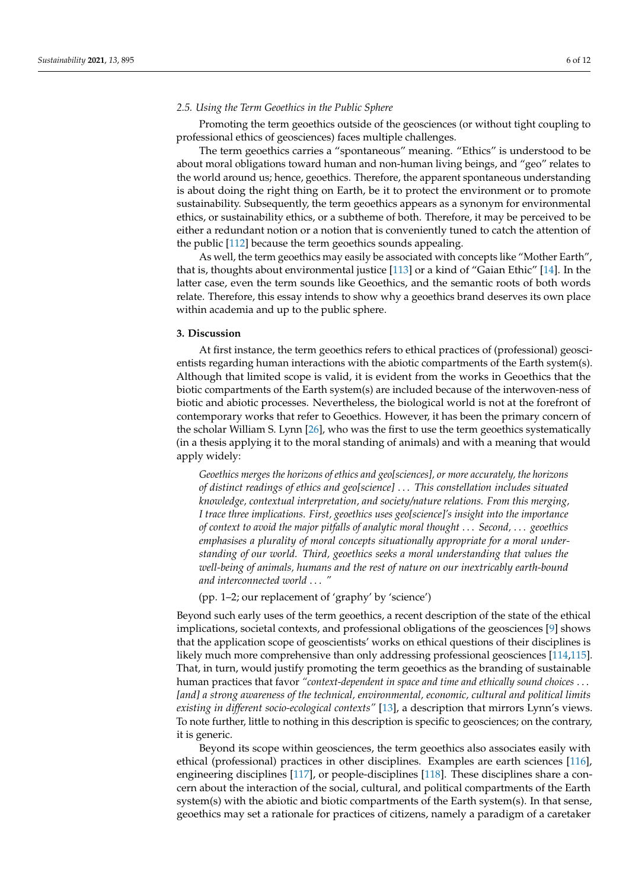## *2.5. Using the Term Geoethics in the Public Sphere*

Promoting the term geoethics outside of the geosciences (or without tight coupling to professional ethics of geosciences) faces multiple challenges.

The term geoethics carries a "spontaneous" meaning. "Ethics" is understood to be about moral obligations toward human and non-human living beings, and "geo" relates to the world around us; hence, geoethics. Therefore, the apparent spontaneous understanding is about doing the right thing on Earth, be it to protect the environment or to promote sustainability. Subsequently, the term geoethics appears as a synonym for environmental ethics, or sustainability ethics, or a subtheme of both. Therefore, it may be perceived to be either a redundant notion or a notion that is conveniently tuned to catch the attention of the public [\[112\]](#page-10-20) because the term geoethics sounds appealing.

As well, the term geoethics may easily be associated with concepts like "Mother Earth", that is, thoughts about environmental justice [\[113\]](#page-10-21) or a kind of "Gaian Ethic" [\[14\]](#page-7-11). In the latter case, even the term sounds like Geoethics, and the semantic roots of both words relate. Therefore, this essay intends to show why a geoethics brand deserves its own place within academia and up to the public sphere.

#### **3. Discussion**

At first instance, the term geoethics refers to ethical practices of (professional) geoscientists regarding human interactions with the abiotic compartments of the Earth system(s). Although that limited scope is valid, it is evident from the works in Geoethics that the biotic compartments of the Earth system(s) are included because of the interwoven-ness of biotic and abiotic processes. Nevertheless, the biological world is not at the forefront of contemporary works that refer to Geoethics. However, it has been the primary concern of the scholar William S. Lynn [\[26\]](#page-8-7), who was the first to use the term geoethics systematically (in a thesis applying it to the moral standing of animals) and with a meaning that would apply widely:

*Geoethics merges the horizons of ethics and geo[sciences], or more accurately, the horizons of distinct readings of ethics and geo[science]* . . . *This constellation includes situated knowledge, contextual interpretation, and society/nature relations. From this merging, I trace three implications. First, geoethics uses geo[science]'s insight into the importance of context to avoid the major pitfalls of analytic moral thought* . . . *Second,* . . . *geoethics emphasises a plurality of moral concepts situationally appropriate for a moral understanding of our world. Third, geoethics seeks a moral understanding that values the well-being of animals, humans and the rest of nature on our inextricably earth-bound and interconnected world* . . . *"*

(pp. 1–2; our replacement of 'graphy' by 'science')

Beyond such early uses of the term geoethics, a recent description of the state of the ethical implications, societal contexts, and professional obligations of the geosciences [\[9\]](#page-7-6) shows that the application scope of geoscientists' works on ethical questions of their disciplines is likely much more comprehensive than only addressing professional geosciences [\[114](#page-10-22)[,115\]](#page-10-23). That, in turn, would justify promoting the term geoethics as the branding of sustainable human practices that favor *"context-dependent in space and time and ethically sound choices* . . . *[and] a strong awareness of the technical, environmental, economic, cultural and political limits existing in different socio-ecological contexts"* [\[13\]](#page-7-10), a description that mirrors Lynn's views. To note further, little to nothing in this description is specific to geosciences; on the contrary, it is generic.

Beyond its scope within geosciences, the term geoethics also associates easily with ethical (professional) practices in other disciplines. Examples are earth sciences [\[116\]](#page-10-24), engineering disciplines [\[117\]](#page-10-25), or people-disciplines [\[118\]](#page-10-26). These disciplines share a concern about the interaction of the social, cultural, and political compartments of the Earth system(s) with the abiotic and biotic compartments of the Earth system(s). In that sense, geoethics may set a rationale for practices of citizens, namely a paradigm of a caretaker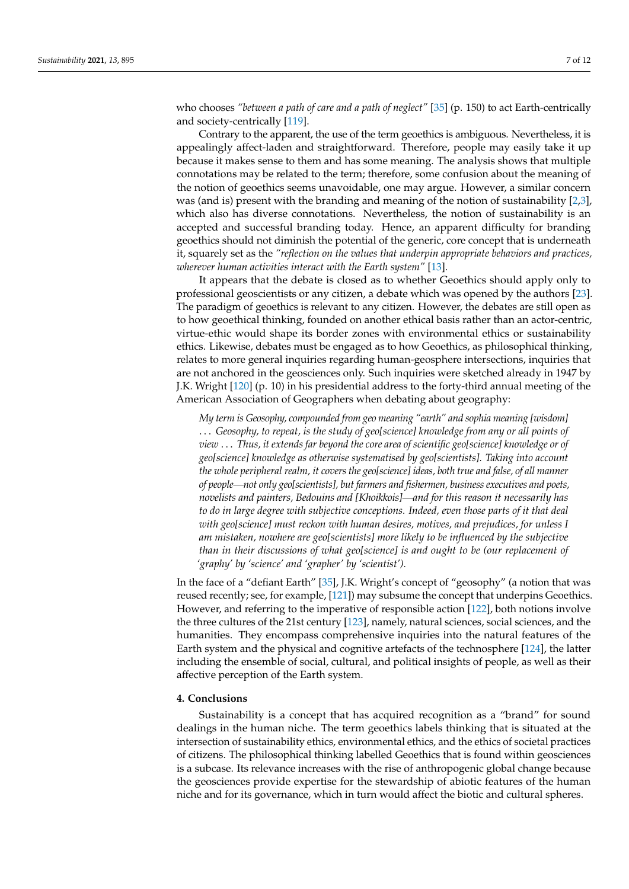who chooses *"between a path of care and a path of neglect"* [\[35\]](#page-8-16) (p. 150) to act Earth-centrically and society-centrically [\[119\]](#page-10-27).

Contrary to the apparent, the use of the term geoethics is ambiguous. Nevertheless, it is appealingly affect-laden and straightforward. Therefore, people may easily take it up because it makes sense to them and has some meaning. The analysis shows that multiple connotations may be related to the term; therefore, some confusion about the meaning of the notion of geoethics seems unavoidable, one may argue. However, a similar concern was (and is) present with the branding and meaning of the notion of sustainability [\[2,](#page-7-1)[3\]](#page-7-2), which also has diverse connotations. Nevertheless, the notion of sustainability is an accepted and successful branding today. Hence, an apparent difficulty for branding geoethics should not diminish the potential of the generic, core concept that is underneath it, squarely set as the *"reflection on the values that underpin appropriate behaviors and practices, wherever human activities interact with the Earth system"* [\[13\]](#page-7-10).

It appears that the debate is closed as to whether Geoethics should apply only to professional geoscientists or any citizen, a debate which was opened by the authors [\[23\]](#page-8-4). The paradigm of geoethics is relevant to any citizen. However, the debates are still open as to how geoethical thinking, founded on another ethical basis rather than an actor-centric, virtue-ethic would shape its border zones with environmental ethics or sustainability ethics. Likewise, debates must be engaged as to how Geoethics, as philosophical thinking, relates to more general inquiries regarding human-geosphere intersections, inquiries that are not anchored in the geosciences only. Such inquiries were sketched already in 1947 by J.K. Wright [\[120\]](#page-10-28) (p. 10) in his presidential address to the forty-third annual meeting of the American Association of Geographers when debating about geography:

*My term is Geosophy, compounded from geo meaning "earth" and sophia meaning [wisdom]* . . . *Geosophy, to repeat, is the study of geo[science] knowledge from any or all points of view* . . . *Thus, it extends far beyond the core area of scientific geo[science] knowledge or of geo[science] knowledge as otherwise systematised by geo[scientists]. Taking into account the whole peripheral realm, it covers the geo[science] ideas, both true and false, of all manner of people—not only geo[scientists], but farmers and fishermen, business executives and poets, novelists and painters, Bedouins and [Khoikkois]—and for this reason it necessarily has to do in large degree with subjective conceptions. Indeed, even those parts of it that deal with geo[science] must reckon with human desires, motives, and prejudices, for unless I am mistaken, nowhere are geo[scientists] more likely to be influenced by the subjective than in their discussions of what geo[science] is and ought to be (our replacement of 'graphy' by 'science' and 'grapher' by 'scientist').*

In the face of a "defiant Earth" [\[35\]](#page-8-16), J.K. Wright's concept of "geosophy" (a notion that was reused recently; see, for example, [\[121\]](#page-10-29)) may subsume the concept that underpins Geoethics. However, and referring to the imperative of responsible action [\[122\]](#page-10-30), both notions involve the three cultures of the 21st century [\[123\]](#page-11-0), namely, natural sciences, social sciences, and the humanities. They encompass comprehensive inquiries into the natural features of the Earth system and the physical and cognitive artefacts of the technosphere [\[124\]](#page-11-1), the latter including the ensemble of social, cultural, and political insights of people, as well as their affective perception of the Earth system.

## **4. Conclusions**

Sustainability is a concept that has acquired recognition as a "brand" for sound dealings in the human niche. The term geoethics labels thinking that is situated at the intersection of sustainability ethics, environmental ethics, and the ethics of societal practices of citizens. The philosophical thinking labelled Geoethics that is found within geosciences is a subcase. Its relevance increases with the rise of anthropogenic global change because the geosciences provide expertise for the stewardship of abiotic features of the human niche and for its governance, which in turn would affect the biotic and cultural spheres.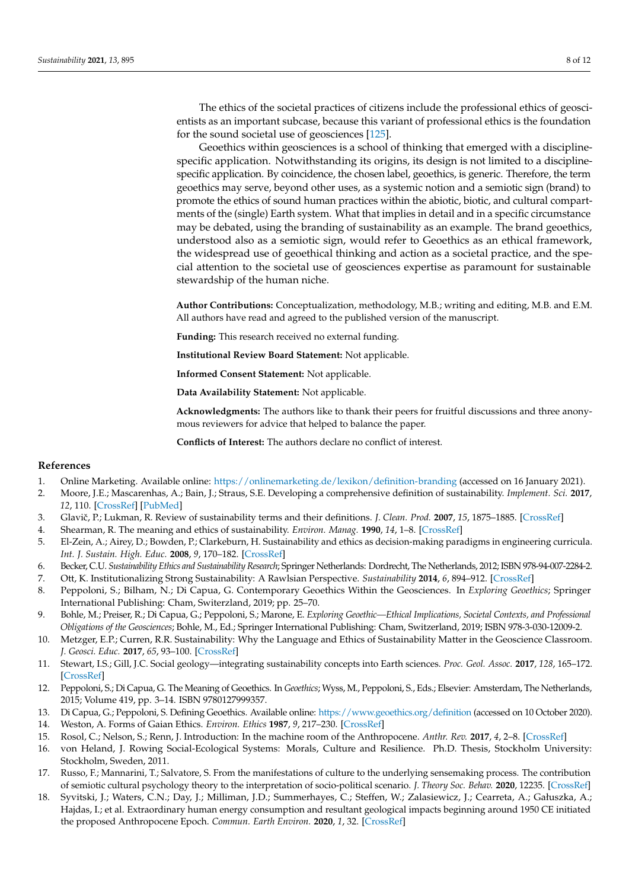The ethics of the societal practices of citizens include the professional ethics of geoscientists as an important subcase, because this variant of professional ethics is the foundation for the sound societal use of geosciences [\[125\]](#page-11-2).

Geoethics within geosciences is a school of thinking that emerged with a disciplinespecific application. Notwithstanding its origins, its design is not limited to a disciplinespecific application. By coincidence, the chosen label, geoethics, is generic. Therefore, the term geoethics may serve, beyond other uses, as a systemic notion and a semiotic sign (brand) to promote the ethics of sound human practices within the abiotic, biotic, and cultural compartments of the (single) Earth system. What that implies in detail and in a specific circumstance may be debated, using the branding of sustainability as an example. The brand geoethics, understood also as a semiotic sign, would refer to Geoethics as an ethical framework, the widespread use of geoethical thinking and action as a societal practice, and the special attention to the societal use of geosciences expertise as paramount for sustainable stewardship of the human niche.

**Author Contributions:** Conceptualization, methodology, M.B.; writing and editing, M.B. and E.M. All authors have read and agreed to the published version of the manuscript.

**Funding:** This research received no external funding.

**Institutional Review Board Statement:** Not applicable.

**Informed Consent Statement:** Not applicable.

**Data Availability Statement:** Not applicable.

**Acknowledgments:** The authors like to thank their peers for fruitful discussions and three anonymous reviewers for advice that helped to balance the paper.

**Conflicts of Interest:** The authors declare no conflict of interest.

## **References**

- <span id="page-7-0"></span>1. Online Marketing. Available online: <https://onlinemarketing.de/lexikon/definition-branding> (accessed on 16 January 2021).
- <span id="page-7-1"></span>2. Moore, J.E.; Mascarenhas, A.; Bain, J.; Straus, S.E. Developing a comprehensive definition of sustainability. *Implement. Sci.* **2017**, *12*, 110. [\[CrossRef\]](http://doi.org/10.1186/s13012-017-0637-1) [\[PubMed\]](http://www.ncbi.nlm.nih.gov/pubmed/28865479)
- <span id="page-7-2"></span>3. Glaviˇc, P.; Lukman, R. Review of sustainability terms and their definitions. *J. Clean. Prod.* **2007**, *15*, 1875–1885. [\[CrossRef\]](http://doi.org/10.1016/j.jclepro.2006.12.006)
- <span id="page-7-3"></span>4. Shearman, R. The meaning and ethics of sustainability. *Environ. Manag.* **1990**, *14*, 1–8. [\[CrossRef\]](http://doi.org/10.1007/BF02394014)
- 5. El-Zein, A.; Airey, D.; Bowden, P.; Clarkeburn, H. Sustainability and ethics as decision-making paradigms in engineering curricula. *Int. J. Sustain. High. Educ.* **2008**, *9*, 170–182. [\[CrossRef\]](http://doi.org/10.1108/14676370810856314)
- 6. Becker, C.U. *Sustainability Ethics and Sustainability Research*; Springer Netherlands: Dordrecht, The Netherlands, 2012; ISBN 978-94-007-2284-2.
- <span id="page-7-4"></span>7. Ott, K. Institutionalizing Strong Sustainability: A Rawlsian Perspective. *Sustainability* **2014**, *6*, 894–912. [\[CrossRef\]](http://doi.org/10.3390/su6020894)
- <span id="page-7-5"></span>8. Peppoloni, S.; Bilham, N.; Di Capua, G. Contemporary Geoethics Within the Geosciences. In *Exploring Geoethics*; Springer International Publishing: Cham, Switerzland, 2019; pp. 25–70.
- <span id="page-7-6"></span>9. Bohle, M.; Preiser, R.; Di Capua, G.; Peppoloni, S.; Marone, E. *Exploring Geoethic—Ethical Implications, Societal Contexts, and Professional Obligations of the Geosciences*; Bohle, M., Ed.; Springer International Publishing: Cham, Switzerland, 2019; ISBN 978-3-030-12009-2.
- <span id="page-7-7"></span>10. Metzger, E.P.; Curren, R.R. Sustainability: Why the Language and Ethics of Sustainability Matter in the Geoscience Classroom. *J. Geosci. Educ.* **2017**, *65*, 93–100. [\[CrossRef\]](http://doi.org/10.5408/16-201.1)
- <span id="page-7-8"></span>11. Stewart, I.S.; Gill, J.C. Social geology—integrating sustainability concepts into Earth sciences. *Proc. Geol. Assoc.* **2017**, *128*, 165–172. [\[CrossRef\]](http://doi.org/10.1016/j.pgeola.2017.01.002)
- <span id="page-7-9"></span>12. Peppoloni, S.; Di Capua, G. The Meaning of Geoethics. In *Geoethics*; Wyss, M., Peppoloni, S., Eds.; Elsevier: Amsterdam, The Netherlands, 2015; Volume 419, pp. 3–14. ISBN 9780127999357.
- <span id="page-7-10"></span>13. Di Capua, G.; Peppoloni, S. Defining Geoethics. Available online: <https://www.geoethics.org/definition> (accessed on 10 October 2020).
- <span id="page-7-11"></span>14. Weston, A. Forms of Gaian Ethics. *Environ. Ethics* **1987**, *9*, 217–230. [\[CrossRef\]](http://doi.org/10.5840/enviroethics1987933)
- <span id="page-7-12"></span>15. Rosol, C.; Nelson, S.; Renn, J. Introduction: In the machine room of the Anthropocene. *Anthr. Rev.* **2017**, *4*, 2–8. [\[CrossRef\]](http://doi.org/10.1177/2053019617701165)
- 16. von Heland, J. Rowing Social-Ecological Systems: Morals, Culture and Resilience. Ph.D. Thesis, Stockholm University: Stockholm, Sweden, 2011.
- 17. Russo, F.; Mannarini, T.; Salvatore, S. From the manifestations of culture to the underlying sensemaking process. The contribution of semiotic cultural psychology theory to the interpretation of socio-political scenario. *J. Theory Soc. Behav.* **2020**, 12235. [\[CrossRef\]](http://doi.org/10.1111/jtsb.12235)
- <span id="page-7-13"></span>18. Syvitski, J.; Waters, C.N.; Day, J.; Milliman, J.D.; Summerhayes, C.; Steffen, W.; Zalasiewicz, J.; Cearreta, A.; Gałuszka, A.; Hajdas, I.; et al. Extraordinary human energy consumption and resultant geological impacts beginning around 1950 CE initiated the proposed Anthropocene Epoch. *Commun. Earth Environ.* **2020**, *1*, 32. [\[CrossRef\]](http://doi.org/10.1038/s43247-020-00029-y)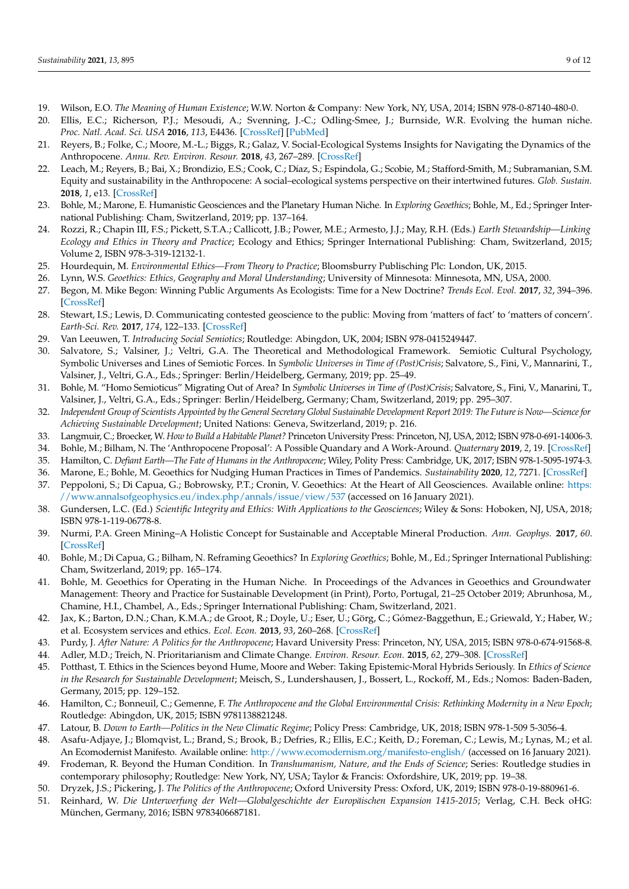- <span id="page-8-0"></span>19. Wilson, E.O. *The Meaning of Human Existence*; W.W. Norton & Company: New York, NY, USA, 2014; ISBN 978-0-87140-480-0.
- <span id="page-8-1"></span>20. Ellis, E.C.; Richerson, P.J.; Mesoudi, A.; Svenning, J.-C.; Odling-Smee, J.; Burnside, W.R. Evolving the human niche. *Proc. Natl. Acad. Sci. USA* **2016**, *113*, E4436. [\[CrossRef\]](http://doi.org/10.1073/pnas.1609425113) [\[PubMed\]](http://www.ncbi.nlm.nih.gov/pubmed/27432994)
- <span id="page-8-2"></span>21. Reyers, B.; Folke, C.; Moore, M.-L.; Biggs, R.; Galaz, V. Social-Ecological Systems Insights for Navigating the Dynamics of the Anthropocene. *Annu. Rev. Environ. Resour.* **2018**, *43*, 267–289. [\[CrossRef\]](http://doi.org/10.1146/annurev-environ-110615-085349)
- <span id="page-8-3"></span>22. Leach, M.; Reyers, B.; Bai, X.; Brondizio, E.S.; Cook, C.; Díaz, S.; Espindola, G.; Scobie, M.; Stafford-Smith, M.; Subramanian, S.M. Equity and sustainability in the Anthropocene: A social–ecological systems perspective on their intertwined futures. *Glob. Sustain.* **2018**, *1*, e13. [\[CrossRef\]](http://doi.org/10.1017/sus.2018.12)
- <span id="page-8-4"></span>23. Bohle, M.; Marone, E. Humanistic Geosciences and the Planetary Human Niche. In *Exploring Geoethics*; Bohle, M., Ed.; Springer International Publishing: Cham, Switzerland, 2019; pp. 137–164.
- <span id="page-8-5"></span>24. Rozzi, R.; Chapin III, F.S.; Pickett, S.T.A.; Callicott, J.B.; Power, M.E.; Armesto, J.J.; May, R.H. (Eds.) *Earth Stewardship—Linking Ecology and Ethics in Theory and Practice*; Ecology and Ethics; Springer International Publishing: Cham, Switzerland, 2015; Volume 2, ISBN 978-3-319-12132-1.
- <span id="page-8-6"></span>25. Hourdequin, M. *Environmental Ethics—From Theory to Practice*; Bloomsburry Publisching Plc: London, UK, 2015.
- <span id="page-8-7"></span>26. Lynn, W.S. *Geoethics: Ethics, Geography and Moral Understanding*; University of Minnesota: Minnesota, MN, USA, 2000.
- <span id="page-8-8"></span>27. Begon, M. Mike Begon: Winning Public Arguments As Ecologists: Time for a New Doctrine? *Trends Ecol. Evol.* **2017**, *32*, 394–396. [\[CrossRef\]](http://doi.org/10.1016/j.tree.2017.03.009)
- <span id="page-8-9"></span>28. Stewart, I.S.; Lewis, D. Communicating contested geoscience to the public: Moving from 'matters of fact' to 'matters of concern'. *Earth-Sci. Rev.* **2017**, *174*, 122–133. [\[CrossRef\]](http://doi.org/10.1016/j.earscirev.2017.09.003)
- <span id="page-8-10"></span>29. Van Leeuwen, T. *Introducing Social Semiotics*; Routledge: Abingdon, UK, 2004; ISBN 978-0415249447.
- <span id="page-8-11"></span>30. Salvatore, S.; Valsiner, J.; Veltri, G.A. The Theoretical and Methodological Framework. Semiotic Cultural Psychology, Symbolic Universes and Lines of Semiotic Forces. In *Symbolic Universes in Time of (Post)Crisis*; Salvatore, S., Fini, V., Mannarini, T., Valsiner, J., Veltri, G.A., Eds.; Springer: Berlin/Heidelberg, Germany, 2019; pp. 25–49.
- <span id="page-8-12"></span>31. Bohle, M. "Homo Semioticus" Migrating Out of Area? In *Symbolic Universes in Time of (Post)Crisis*; Salvatore, S., Fini, V., Manarini, T., Valsiner, J., Veltri, G.A., Eds.; Springer: Berlin/Heidelberg, Germany; Cham, Switzerland, 2019; pp. 295–307.
- <span id="page-8-13"></span>32. *Independent Group of Scientists Appointed by the General Secretary Global Sustainable Development Report 2019: The Future is Now—Science for Achieving Sustainable Development*; United Nations: Geneva, Switzerland, 2019; p. 216.
- <span id="page-8-14"></span>33. Langmuir, C.; Broecker, W. *How to Build a Habitable Planet?* Princeton University Press: Princeton, NJ, USA, 2012; ISBN 978-0-691-14006-3.
- <span id="page-8-15"></span>34. Bohle, M.; Bilham, N. The 'Anthropocene Proposal': A Possible Quandary and A Work-Around. *Quaternary* **2019**, *2*, 19. [\[CrossRef\]](http://doi.org/10.3390/quat2020019)
- <span id="page-8-16"></span>35. Hamilton, C. *Defiant Earth—The Fate of Humans in the Anthropocene*; Wiley, Polity Press: Cambridge, UK, 2017; ISBN 978-1-5095-1974-3.
- <span id="page-8-17"></span>36. Marone, E.; Bohle, M. Geoethics for Nudging Human Practices in Times of Pandemics. *Sustainability* **2020**, *12*, 7271. [\[CrossRef\]](http://doi.org/10.3390/su12187271)
- <span id="page-8-18"></span>37. Peppoloni, S.; Di Capua, G.; Bobrowsky, P.T.; Cronin, V. Geoethics: At the Heart of All Geosciences. Available online: [https:](https://www.annalsofgeophysics.eu/index.php/annals/issue/view/537) [//www.annalsofgeophysics.eu/index.php/annals/issue/view/537](https://www.annalsofgeophysics.eu/index.php/annals/issue/view/537) (accessed on 16 January 2021).
- 38. Gundersen, L.C. (Ed.) *Scientific Integrity and Ethics: With Applications to the Geosciences*; Wiley & Sons: Hoboken, NJ, USA, 2018; ISBN 978-1-119-06778-8.
- <span id="page-8-19"></span>39. Nurmi, P.A. Green Mining–A Holistic Concept for Sustainable and Acceptable Mineral Production. *Ann. Geophys.* **2017**, *60*. [\[CrossRef\]](http://doi.org/10.4401/ag-7420)
- <span id="page-8-20"></span>40. Bohle, M.; Di Capua, G.; Bilham, N. Reframing Geoethics? In *Exploring Geoethics*; Bohle, M., Ed.; Springer International Publishing: Cham, Switzerland, 2019; pp. 165–174.
- <span id="page-8-21"></span>41. Bohle, M. Geoethics for Operating in the Human Niche. In Proceedings of the Advances in Geoethics and Groundwater Management: Theory and Practice for Sustainable Development (in Print), Porto, Portugal, 21–25 October 2019; Abrunhosa, M., Chamine, H.I., Chambel, A., Eds.; Springer International Publishing: Cham, Switzerland, 2021.
- <span id="page-8-22"></span>42. Jax, K.; Barton, D.N.; Chan, K.M.A.; de Groot, R.; Doyle, U.; Eser, U.; Görg, C.; Gómez-Baggethun, E.; Griewald, Y.; Haber, W.; et al. Ecosystem services and ethics. *Ecol. Econ.* **2013**, *93*, 260–268. [\[CrossRef\]](http://doi.org/10.1016/j.ecolecon.2013.06.008)
- <span id="page-8-23"></span>43. Purdy, J. *After Nature: A Politics for the Anthropocene*; Havard University Press: Princeton, NY, USA, 2015; ISBN 978-0-674-91568-8.
- <span id="page-8-24"></span>44. Adler, M.D.; Treich, N. Prioritarianism and Climate Change. *Environ. Resour. Econ.* **2015**, *62*, 279–308. [\[CrossRef\]](http://doi.org/10.1007/s10640-015-9960-7)
- <span id="page-8-25"></span>45. Potthast, T. Ethics in the Sciences beyond Hume, Moore and Weber: Taking Epistemic-Moral Hybrids Seriously. In *Ethics of Science in the Research for Sustainable Development*; Meisch, S., Lundershausen, J., Bossert, L., Rockoff, M., Eds.; Nomos: Baden-Baden, Germany, 2015; pp. 129–152.
- <span id="page-8-26"></span>46. Hamilton, C.; Bonneuil, C.; Gemenne, F. *The Anthropocene and the Global Environmental Crisis: Rethinking Modernity in a New Epoch*; Routledge: Abingdon, UK, 2015; ISBN 9781138821248.
- 47. Latour, B. *Down to Earth—Politics in the New Climatic Regime*; Policy Press: Cambridge, UK, 2018; ISBN 978-1-509 5-3056-4.
- <span id="page-8-29"></span>48. Asafu-Adjaye, J.; Blomqvist, L.; Brand, S.; Brook, B.; Defries, R.; Ellis, E.C.; Keith, D.; Foreman, C.; Lewis, M.; Lynas, M.; et al. An Ecomodernist Manifesto. Available online: <http://www.ecomodernism.org/manifesto-english/> (accessed on 16 January 2021).
- 49. Frodeman, R. Beyond the Human Condition. In *Transhumanism, Nature, and the Ends of Science*; Series: Routledge studies in contemporary philosophy; Routledge: New York, NY, USA; Taylor & Francis: Oxfordshire, UK, 2019; pp. 19–38.
- <span id="page-8-27"></span>50. Dryzek, J.S.; Pickering, J. *The Politics of the Anthropocene*; Oxford University Press: Oxford, UK, 2019; ISBN 978-0-19-880961-6.
- <span id="page-8-28"></span>51. Reinhard, W. *Die Unterwerfung der Welt—Globalgeschichte der Europäischen Expansion 1415-2015*; Verlag, C.H. Beck oHG: München, Germany, 2016; ISBN 9783406687181.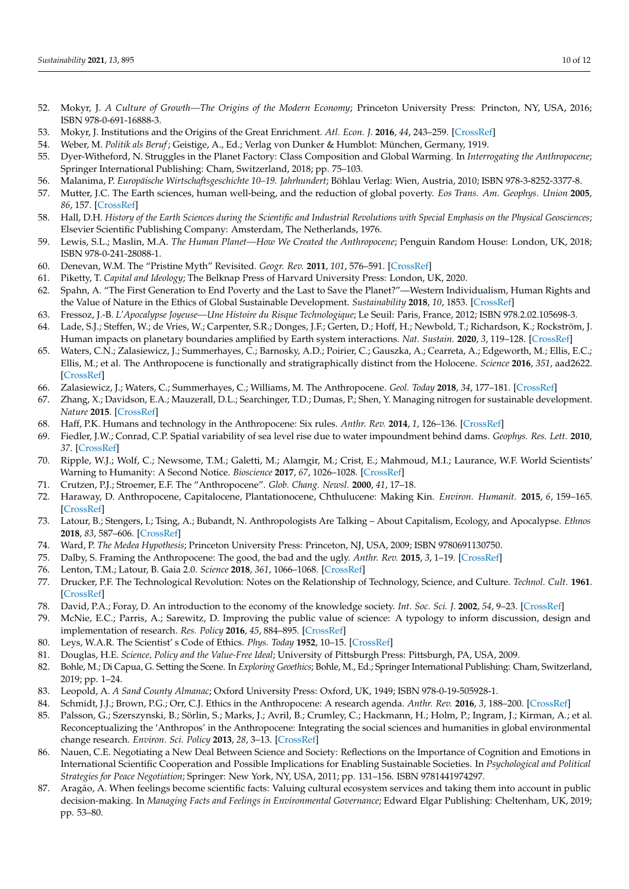- <span id="page-9-0"></span>52. Mokyr, J. *A Culture of Growth—The Origins of the Modern Economy*; Princeton University Press: Princton, NY, USA, 2016; ISBN 978-0-691-16888-3.
- <span id="page-9-1"></span>53. Mokyr, J. Institutions and the Origins of the Great Enrichment. *Atl. Econ. J.* **2016**, *44*, 243–259. [\[CrossRef\]](http://doi.org/10.1007/s11293-016-9496-4)
- <span id="page-9-2"></span>54. Weber, M. *Politik als Beruf*; Geistige, A., Ed.; Verlag von Dunker & Humblot: München, Germany, 1919.
- <span id="page-9-3"></span>55. Dyer-Witheford, N. Struggles in the Planet Factory: Class Composition and Global Warming. In *Interrogating the Anthropocene*; Springer International Publishing: Cham, Switzerland, 2018; pp. 75–103.
- <span id="page-9-4"></span>56. Malanima, P. *Europäische Wirtschaftsgeschichte 10–19. Jahrhundert*; Böhlau Verlag: Wien, Austria, 2010; ISBN 978-3-8252-3377-8.
- <span id="page-9-5"></span>57. Mutter, J.C. The Earth sciences, human well-being, and the reduction of global poverty. *Eos Trans. Am. Geophys. Union* **2005**, *86*, 157. [\[CrossRef\]](http://doi.org/10.1029/2005EO160002)
- <span id="page-9-6"></span>58. Hall, D.H. *History of the Earth Sciences during the Scientific and Industrial Revolutions with Special Emphasis on the Physical Geosciences*; Elsevier Scientific Publishing Company: Amsterdam, The Netherlands, 1976.
- <span id="page-9-7"></span>59. Lewis, S.L.; Maslin, M.A. *The Human Planet—How We Created the Anthropocene*; Penguin Random House: London, UK, 2018; ISBN 978-0-241-28088-1.
- <span id="page-9-8"></span>60. Denevan, W.M. The "Pristine Myth" Revisited. *Geogr. Rev.* **2011**, *101*, 576–591. [\[CrossRef\]](http://doi.org/10.1111/j.1931-0846.2011.00118.x)
- <span id="page-9-9"></span>61. Piketty, T. *Capital and Ideology*; The Belknap Press of Harvard University Press: London, UK, 2020.
- <span id="page-9-10"></span>62. Spahn, A. "The First Generation to End Poverty and the Last to Save the Planet?"—Western Individualism, Human Rights and the Value of Nature in the Ethics of Global Sustainable Development. *Sustainability* **2018**, *10*, 1853. [\[CrossRef\]](http://doi.org/10.3390/su10061853)
- 63. Fressoz, J.-B. *L'Apocalypse Joyeuse—Une Histoire du Risque Technologique*; Le Seuil: Paris, France, 2012; ISBN 978.2.02.105698-3.
- <span id="page-9-11"></span>64. Lade, S.J.; Steffen, W.; de Vries, W.; Carpenter, S.R.; Donges, J.F.; Gerten, D.; Hoff, H.; Newbold, T.; Richardson, K.; Rockström, J. Human impacts on planetary boundaries amplified by Earth system interactions. *Nat. Sustain.* **2020**, *3*, 119–128. [\[CrossRef\]](http://doi.org/10.1038/s41893-019-0454-4)
- <span id="page-9-12"></span>65. Waters, C.N.; Zalasiewicz, J.; Summerhayes, C.; Barnosky, A.D.; Poirier, C.; Gauszka, A.; Cearreta, A.; Edgeworth, M.; Ellis, E.C.; Ellis, M.; et al. The Anthropocene is functionally and stratigraphically distinct from the Holocene. *Science* **2016**, *351*, aad2622. [\[CrossRef\]](http://doi.org/10.1126/science.aad2622)
- <span id="page-9-13"></span>66. Zalasiewicz, J.; Waters, C.; Summerhayes, C.; Williams, M. The Anthropocene. *Geol. Today* **2018**, *34*, 177–181. [\[CrossRef\]](http://doi.org/10.1111/gto.12244)
- <span id="page-9-14"></span>67. Zhang, X.; Davidson, E.A.; Mauzerall, D.L.; Searchinger, T.D.; Dumas, P.; Shen, Y. Managing nitrogen for sustainable development. *Nature* **2015**. [\[CrossRef\]](http://doi.org/10.1038/nature15743)
- <span id="page-9-15"></span>68. Haff, P.K. Humans and technology in the Anthropocene: Six rules. *Anthr. Rev.* **2014**, *1*, 126–136. [\[CrossRef\]](http://doi.org/10.1177/2053019614530575)
- <span id="page-9-16"></span>69. Fiedler, J.W.; Conrad, C.P. Spatial variability of sea level rise due to water impoundment behind dams. *Geophys. Res. Lett.* **2010**, *37*. [\[CrossRef\]](http://doi.org/10.1029/2010GL043462)
- <span id="page-9-17"></span>70. Ripple, W.J.; Wolf, C.; Newsome, T.M.; Galetti, M.; Alamgir, M.; Crist, E.; Mahmoud, M.I.; Laurance, W.F. World Scientists' Warning to Humanity: A Second Notice. *Bioscience* **2017**, *67*, 1026–1028. [\[CrossRef\]](http://doi.org/10.1093/biosci/bix125)
- <span id="page-9-18"></span>71. Crutzen, P.J.; Stroemer, E.F. The "Anthropocene". *Glob. Chang. Newsl.* **2000**, *41*, 17–18.
- <span id="page-9-19"></span>72. Haraway, D. Anthropocene, Capitalocene, Plantationocene, Chthulucene: Making Kin. *Environ. Humanit.* **2015**, *6*, 159–165. [\[CrossRef\]](http://doi.org/10.1215/22011919-3615934)
- <span id="page-9-20"></span>73. Latour, B.; Stengers, I.; Tsing, A.; Bubandt, N. Anthropologists Are Talking – About Capitalism, Ecology, and Apocalypse. *Ethnos* **2018**, *83*, 587–606. [\[CrossRef\]](http://doi.org/10.1080/00141844.2018.1457703)
- <span id="page-9-21"></span>74. Ward, P. *The Medea Hypothesis*; Princeton University Press: Princeton, NJ, USA, 2009; ISBN 9780691130750.
- 75. Dalby, S. Framing the Anthropocene: The good, the bad and the ugly. *Anthr. Rev.* **2015**, *3*, 1–19. [\[CrossRef\]](http://doi.org/10.1177/2053019615618681)
- <span id="page-9-22"></span>76. Lenton, T.M.; Latour, B. Gaia 2.0. *Science* **2018**, *361*, 1066–1068. [\[CrossRef\]](http://doi.org/10.1126/science.aau0427)
- <span id="page-9-23"></span>77. Drucker, P.F. The Technological Revolution: Notes on the Relationship of Technology, Science, and Culture. *Technol. Cult.* **1961**. [\[CrossRef\]](http://doi.org/10.2307/3100889)
- 78. David, P.A.; Foray, D. An introduction to the economy of the knowledge society. *Int. Soc. Sci. J.* **2002**, *54*, 9–23. [\[CrossRef\]](http://doi.org/10.1111/1468-2451.00355)
- <span id="page-9-24"></span>79. McNie, E.C.; Parris, A.; Sarewitz, D. Improving the public value of science: A typology to inform discussion, design and implementation of research. *Res. Policy* **2016**, *45*, 884–895. [\[CrossRef\]](http://doi.org/10.1016/j.respol.2016.01.004)
- <span id="page-9-25"></span>80. Leys, W.A.R. The Scientist' s Code of Ethics. *Phys. Today* **1952**, 10–15. [\[CrossRef\]](http://doi.org/10.1063/1.3067509)
- <span id="page-9-26"></span>81. Douglas, H.E. *Science, Policy and the Value-Free Ideal*; University of Pittsburgh Press: Pittsburgh, PA, USA, 2009.
- <span id="page-9-27"></span>82. Bohle, M.; Di Capua, G. Setting the Scene. In *Exploring Geoethics*; Bohle, M., Ed.; Springer International Publishing: Cham, Switzerland, 2019; pp. 1–24.
- <span id="page-9-28"></span>83. Leopold, A. *A Sand County Almanac*; Oxford University Press: Oxford, UK, 1949; ISBN 978-0-19-505928-1.
- <span id="page-9-29"></span>84. Schmidt, J.J.; Brown, P.G.; Orr, C.J. Ethics in the Anthropocene: A research agenda. *Anthr. Rev.* **2016**, *3*, 188–200. [\[CrossRef\]](http://doi.org/10.1177/2053019616662052)
- <span id="page-9-30"></span>85. Palsson, G.; Szerszynski, B.; Sörlin, S.; Marks, J.; Avril, B.; Crumley, C.; Hackmann, H.; Holm, P.; Ingram, J.; Kirman, A.; et al. Reconceptualizing the 'Anthropos' in the Anthropocene: Integrating the social sciences and humanities in global environmental change research. *Environ. Sci. Policy* **2013**, *28*, 3–13. [\[CrossRef\]](http://doi.org/10.1016/j.envsci.2012.11.004)
- <span id="page-9-31"></span>86. Nauen, C.E. Negotiating a New Deal Between Science and Society: Reflections on the Importance of Cognition and Emotions in International Scientific Cooperation and Possible Implications for Enabling Sustainable Societies. In *Psychological and Political Strategies for Peace Negotiation*; Springer: New York, NY, USA, 2011; pp. 131–156. ISBN 9781441974297.
- 87. Aragão, A. When feelings become scientific facts: Valuing cultural ecosystem services and taking them into account in public decision-making. In *Managing Facts and Feelings in Environmental Governance*; Edward Elgar Publishing: Cheltenham, UK, 2019; pp. 53–80.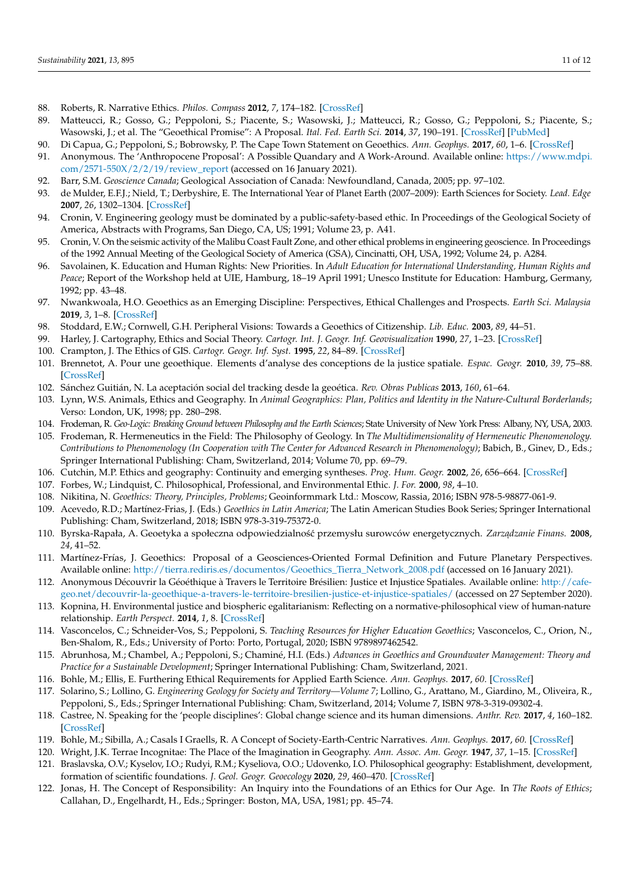- <span id="page-10-0"></span>88. Roberts, R. Narrative Ethics. *Philos. Compass* **2012**, *7*, 174–182. [\[CrossRef\]](http://doi.org/10.1111/j.1747-9991.2011.00472.x)
- <span id="page-10-1"></span>89. Matteucci, R.; Gosso, G.; Peppoloni, S.; Piacente, S.; Wasowski, J.; Matteucci, R.; Gosso, G.; Peppoloni, S.; Piacente, S.; Wasowski, J.; et al. The "Geoethical Promise": A Proposal. *Ital. Fed. Earth Sci.* **2014**, *37*, 190–191. [\[CrossRef\]](http://doi.org/10.18814/epiiugs/2014/v37i3/004) [\[PubMed\]](http://www.ncbi.nlm.nih.gov/pubmed/27362239)
- <span id="page-10-2"></span>90. Di Capua, G.; Peppoloni, S.; Bobrowsky, P. The Cape Town Statement on Geoethics. *Ann. Geophys.* **2017**, *60*, 1–6. [\[CrossRef\]](http://doi.org/10.4401/ag-7553)
- <span id="page-10-3"></span>91. Anonymous. The 'Anthropocene Proposal': A Possible Quandary and A Work-Around. Available online: [https://www.mdpi.](https://www.mdpi.com/2571-550X/2/2/19/review_report) [com/2571-550X/2/2/19/review\\_report](https://www.mdpi.com/2571-550X/2/2/19/review_report) (accessed on 16 January 2021).
- <span id="page-10-4"></span>92. Barr, S.M. *Geoscience Canada*; Geological Association of Canada: Newfoundland, Canada, 2005; pp. 97–102.
- <span id="page-10-5"></span>93. de Mulder, E.F.J.; Nield, T.; Derbyshire, E. The International Year of Planet Earth (2007–2009): Earth Sciences for Society. *Lead. Edge* **2007**, *26*, 1302–1304. [\[CrossRef\]](http://doi.org/10.1190/1.2794392)
- <span id="page-10-6"></span>94. Cronin, V. Engineering geology must be dominated by a public-safety-based ethic. In Proceedings of the Geological Society of America, Abstracts with Programs, San Diego, CA, US; 1991; Volume 23, p. A41.
- 95. Cronin, V. On the seismic activity of the Malibu Coast Fault Zone, and other ethical problems in engineering geoscience. In Proceedings of the 1992 Annual Meeting of the Geological Society of America (GSA), Cincinatti, OH, USA, 1992; Volume 24, p. A284.
- <span id="page-10-7"></span>96. Savolainen, K. Education and Human Rights: New Priorities. In *Adult Education for International Understanding, Human Rights and Peace*; Report of the Workshop held at UIE, Hamburg, 18–19 April 1991; Unesco Institute for Education: Hamburg, Germany, 1992; pp. 43–48.
- <span id="page-10-8"></span>97. Nwankwoala, H.O. Geoethics as an Emerging Discipline: Perspectives, Ethical Challenges and Prospects. *Earth Sci. Malaysia* **2019**, *3*, 1–8. [\[CrossRef\]](http://doi.org/10.26480/esmy.01.2019.01.08)
- <span id="page-10-9"></span>98. Stoddard, E.W.; Cornwell, G.H. Peripheral Visions: Towards a Geoethics of Citizenship. *Lib. Educ.* **2003**, *89*, 44–51.
- <span id="page-10-10"></span>99. Harley, J. Cartography, Ethics and Social Theory. *Cartogr. Int. J. Geogr. Inf. Geovisualization* **1990**, *27*, 1–23. [\[CrossRef\]](http://doi.org/10.3138/C211-1512-0603-XJ14)
- 100. Crampton, J. The Ethics of GIS. *Cartogr. Geogr. Inf. Syst.* **1995**, *22*, 84–89. [\[CrossRef\]](http://doi.org/10.1559/152304095782540546)
- 101. Brennetot, A. Pour une geoethique. Elements d'analyse des conceptions de la justice spatiale. *Espac. Geogr.* **2010**, *39*, 75–88. [\[CrossRef\]](http://doi.org/10.3917/eg.391.0075)
- 102. Sánchez Guitián, N. La aceptación social del tracking desde la geoética. *Rev. Obras Publicas* **2013**, *160*, 61–64.
- <span id="page-10-11"></span>103. Lynn, W.S. Animals, Ethics and Geography. In *Animal Geographics: Plan, Politics and Identity in the Nature-Cultural Borderlands*; Verso: London, UK, 1998; pp. 280–298.
- <span id="page-10-12"></span>104. Frodeman, R. *Geo-Logic: Breaking Ground between Philosophy and the Earth Sciences*; State University of New York Press: Albany, NY, USA, 2003.
- <span id="page-10-13"></span>105. Frodeman, R. Hermeneutics in the Field: The Philosophy of Geology. In *The Multidimensionality of Hermeneutic Phenomenology. Contributions to Phenomenology (In Cooperation with The Center for Advanced Research in Phenomenology)*; Babich, B., Ginev, D., Eds.; Springer International Publishing: Cham, Switzerland, 2014; Volume 70, pp. 69–79.
- <span id="page-10-14"></span>106. Cutchin, M.P. Ethics and geography: Continuity and emerging syntheses. *Prog. Hum. Geogr.* **2002**, *26*, 656–664. [\[CrossRef\]](http://doi.org/10.1191/0309132502ph393pr)
- <span id="page-10-15"></span>107. Forbes, W.; Lindquist, C. Philosophical, Professional, and Environmental Ethic. *J. For.* **2000**, *98*, 4–10.
- <span id="page-10-16"></span>108. Nikitina, N. *Geoethics: Theory, Principles, Problems*; Geoinformmark Ltd.: Moscow, Rassia, 2016; ISBN 978-5-98877-061-9.
- <span id="page-10-17"></span>109. Acevedo, R.D.; Martínez-Frias, J. (Eds.) *Geoethics in Latin America*; The Latin American Studies Book Series; Springer International Publishing: Cham, Switzerland, 2018; ISBN 978-3-319-75372-0.
- <span id="page-10-18"></span>110. Byrska-Rapała, A. Geoetyka a społeczna odpowiedzialność przemysłu surowców energetycznych. Zarządzanie Finans. 2008, *24*, 41–52.
- <span id="page-10-19"></span>111. Martínez-Frías, J. Geoethics: Proposal of a Geosciences-Oriented Formal Definition and Future Planetary Perspectives. Available online: [http://tierra.rediris.es/documentos/Geoethics\\_Tierra\\_Network\\_2008.pdf](http://tierra.rediris.es/documentos/Geoethics_Tierra_Network_2008.pdf) (accessed on 16 January 2021).
- <span id="page-10-20"></span>112. Anonymous Découvrir la Géoéthique à Travers le Territoire Brésilien: Justice et Injustice Spatiales. Available online: [http://cafe](http://cafe-geo.net/decouvrir-la-geoethique-a-travers-le-territoire-bresilien-justice-et-injustice-spatiales/)[geo.net/decouvrir-la-geoethique-a-travers-le-territoire-bresilien-justice-et-injustice-spatiales/](http://cafe-geo.net/decouvrir-la-geoethique-a-travers-le-territoire-bresilien-justice-et-injustice-spatiales/) (accessed on 27 September 2020).
- <span id="page-10-21"></span>113. Kopnina, H. Environmental justice and biospheric egalitarianism: Reflecting on a normative-philosophical view of human-nature relationship. *Earth Perspect.* **2014**, *1*, 8. [\[CrossRef\]](http://doi.org/10.1186/2194-6434-1-8)
- <span id="page-10-22"></span>114. Vasconcelos, C.; Schneider-Vos, S.; Peppoloni, S. *Teaching Resources for Higher Education Geoethics*; Vasconcelos, C., Orion, N., Ben-Shalom, R., Eds.; University of Porto: Porto, Portugal, 2020; ISBN 9789897462542.
- <span id="page-10-23"></span>115. Abrunhosa, M.; Chambel, A.; Peppoloni, S.; Chaminé, H.I. (Eds.) *Advances in Geoethics and Groundwater Management: Theory and Practice for a Sustainable Development*; Springer International Publishing: Cham, Switzerland, 2021.
- <span id="page-10-24"></span>116. Bohle, M.; Ellis, E. Furthering Ethical Requirements for Applied Earth Science. *Ann. Geophys.* **2017**, *60*. [\[CrossRef\]](http://doi.org/10.4401/ag-7401)
- <span id="page-10-25"></span>117. Solarino, S.; Lollino, G. *Engineering Geology for Society and Territory—Volume 7*; Lollino, G., Arattano, M., Giardino, M., Oliveira, R., Peppoloni, S., Eds.; Springer International Publishing: Cham, Switzerland, 2014; Volume 7, ISBN 978-3-319-09302-4.
- <span id="page-10-26"></span>118. Castree, N. Speaking for the 'people disciplines': Global change science and its human dimensions. *Anthr. Rev.* **2017**, *4*, 160–182. [\[CrossRef\]](http://doi.org/10.1177/2053019617734249)
- <span id="page-10-27"></span>119. Bohle, M.; Sibilla, A.; Casals I Graells, R. A Concept of Society-Earth-Centric Narratives. *Ann. Geophys.* **2017**, *60*. [\[CrossRef\]](http://doi.org/10.4401/ag-7358)
- <span id="page-10-28"></span>120. Wright, J.K. Terrae Incognitae: The Place of the Imagination in Geography. *Ann. Assoc. Am. Geogr.* **1947**, *37*, 1–15. [\[CrossRef\]](http://doi.org/10.1080/00045604709351940)
- <span id="page-10-29"></span>121. Braslavska, O.V.; Kyselov, I.O.; Rudyi, R.M.; Kyseliova, O.O.; Udovenko, I.O. Philosophical geography: Establishment, development, formation of scientific foundations. *J. Geol. Geogr. Geoecology* **2020**, *29*, 460–470. [\[CrossRef\]](http://doi.org/10.15421/112041)
- <span id="page-10-30"></span>122. Jonas, H. The Concept of Responsibility: An Inquiry into the Foundations of an Ethics for Our Age. In *The Roots of Ethics*; Callahan, D., Engelhardt, H., Eds.; Springer: Boston, MA, USA, 1981; pp. 45–74.